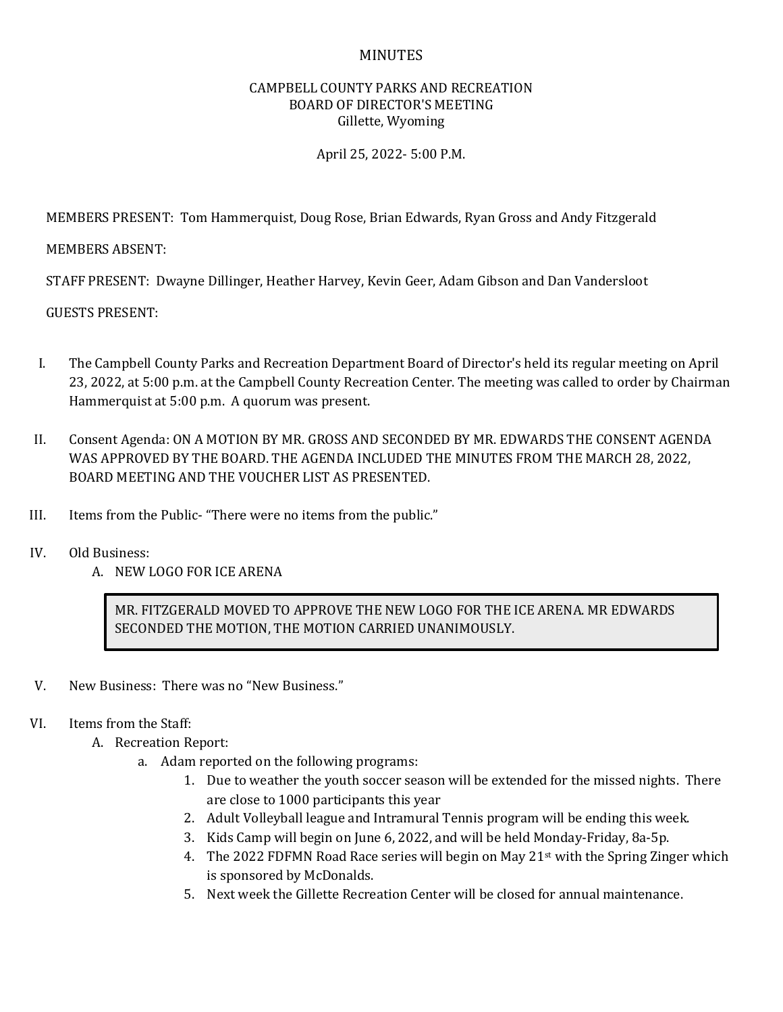## MINUTES

## CAMPBELL COUNTY PARKS AND RECREATION BOARD OF DIRECTOR'S MEETING Gillette, Wyoming

## April 25, 2022- 5:00 P.M.

MEMBERS PRESENT: Tom Hammerquist, Doug Rose, Brian Edwards, Ryan Gross and Andy Fitzgerald

MEMBERS ABSENT:

STAFF PRESENT: Dwayne Dillinger, Heather Harvey, Kevin Geer, Adam Gibson and Dan Vandersloot

GUESTS PRESENT:

- I. The Campbell County Parks and Recreation Department Board of Director's held its regular meeting on April 23, 2022, at 5:00 p.m. at the Campbell County Recreation Center. The meeting was called to order by Chairman Hammerquist at 5:00 p.m. A quorum was present.
- II. Consent Agenda: ON A MOTION BY MR. GROSS AND SECONDED BY MR. EDWARDS THE CONSENT AGENDA WAS APPROVED BY THE BOARD. THE AGENDA INCLUDED THE MINUTES FROM THE MARCH 28, 2022, BOARD MEETING AND THE VOUCHER LIST AS PRESENTED.
- III. Items from the Public- "There were no items from the public."
- IV. Old Business:
	- A. NEW LOGO FOR ICE ARENA

MR. FITZGERALD MOVED TO APPROVE THE NEW LOGO FOR THE ICE ARENA. MR EDWARDS SECONDED THE MOTION, THE MOTION CARRIED UNANIMOUSLY.

- V. New Business: There was no "New Business."
- VI. Items from the Staff:
	- A. Recreation Report:
		- a. Adam reported on the following programs:
			- 1. Due to weather the youth soccer season will be extended for the missed nights. There are close to 1000 participants this year
			- 2. Adult Volleyball league and Intramural Tennis program will be ending this week.
			- 3. Kids Camp will begin on June 6, 2022, and will be held Monday-Friday, 8a-5p.
			- 4. The 2022 FDFMN Road Race series will begin on May  $21<sup>st</sup>$  with the Spring Zinger which is sponsored by McDonalds.
			- 5. Next week the Gillette Recreation Center will be closed for annual maintenance.